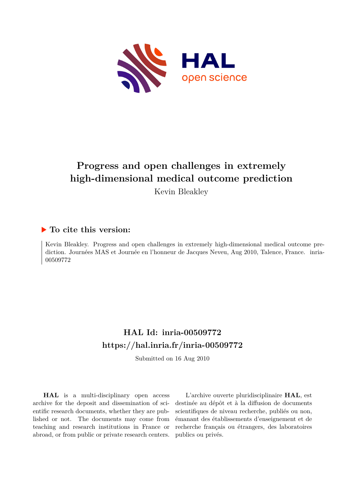

# **Progress and open challenges in extremely high-dimensional medical outcome prediction**

Kevin Bleakley

## **To cite this version:**

Kevin Bleakley. Progress and open challenges in extremely high-dimensional medical outcome prediction. Journées MAS et Journée en l'honneur de Jacques Neveu, Aug 2010, Talence, France. ffinria-00509772

## **HAL Id: inria-00509772 <https://hal.inria.fr/inria-00509772>**

Submitted on 16 Aug 2010

**HAL** is a multi-disciplinary open access archive for the deposit and dissemination of scientific research documents, whether they are published or not. The documents may come from teaching and research institutions in France or abroad, or from public or private research centers.

L'archive ouverte pluridisciplinaire **HAL**, est destinée au dépôt et à la diffusion de documents scientifiques de niveau recherche, publiés ou non, émanant des établissements d'enseignement et de recherche français ou étrangers, des laboratoires publics ou privés.